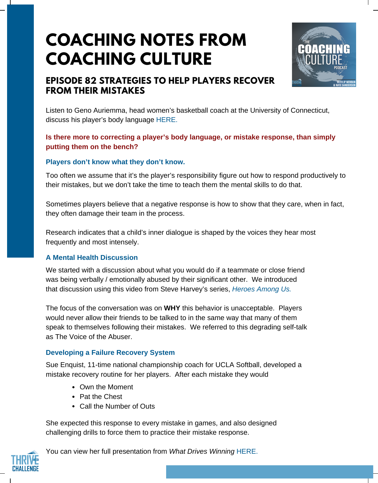# **COACHING NOTES FROM COACHING CULTURE**



# **EPISODE 82 STRATEGIES TO HELP PLAYERS RECOVER FROM THEIR MISTAKES**

Listen to Geno Auriemma, head women's basketball coach at the University of Connecticut, discuss his player's body language [HERE.](https://www.youtube.com/watch?v=tp4mIONS51E)

## **Is there more to correcting a player's body language, or mistake response, than simply putting them on the bench?**

#### **Players don't know what they don't know.**

Too often we assume that it's the player's responsibility figure out how to respond productively to their mistakes, but we don't take the time to teach them the mental skills to do that.

Sometimes players believe that a negative response is how to show that they care, when in fact, they often damage their team in the process.

Research indicates that a child's inner dialogue is shaped by the voices they hear most frequently and most intensely.

#### **A Mental Health Discussion**

We started with a discussion about what you would do if a teammate or close friend was being verbally / emotionally abused by their significant other. We introduced that discussion using this video from Steve Harvey's series, *[Heroes](https://www.youtube.com/watch?v=cRp2ukifEk4&feature=youtu.be) Among Us.*

The focus of the conversation was on **WHY** this behavior is unacceptable. Players would never allow their friends to be talked to in the same way that many of them speak to themselves following their mistakes. We referred to this degrading self-talk as The Voice of the Abuser.

#### **Developing a Failure Recovery System**

Sue Enquist, 11-time national championship coach for UCLA Softball, developed a mistake recovery routine for her players. After each mistake they would

- Own the Moment
- Pat the Chest
- Call the Number of Outs

She expected this response to every mistake in games, and also designed challenging drills to force them to practice their mistake response.



You can view her full presentation from *What Drives Winning* [HERE.](https://www.youtube.com/watch?v=RZPv3en9iYU)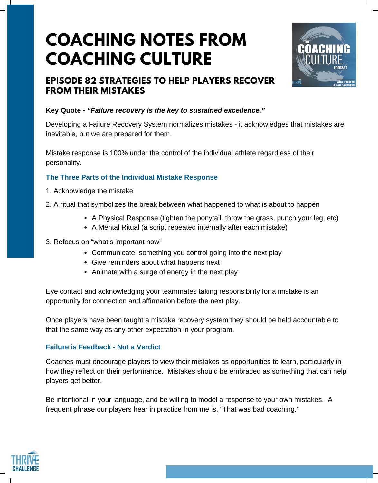# **COACHING NOTES FROM COACHING CULTURE**



## **EPISODE 82 STRATEGIES TO HELP PLAYERS RECOVER FROM THEIR MISTAKES**

## **Key Quote -** *"Failure recovery is the key to sustained excellence."*

Developing a Failure Recovery System normalizes mistakes - it acknowledges that mistakes are inevitable, but we are prepared for them.

Mistake response is 100% under the control of the individual athlete regardless of their personality.

### **The Three Parts of the Individual Mistake Response**

- 1. Acknowledge the mistake
- 2. A ritual that symbolizes the break between what happened to what is about to happen
	- A Physical Response (tighten the ponytail, throw the grass, punch your leg, etc)
	- A Mental Ritual (a script repeated internally after each mistake)
- 3. Refocus on "what's important now"
	- Communicate something you control going into the next play
	- Give reminders about what happens next
	- Animate with a surge of energy in the next play

Eye contact and acknowledging your teammates taking responsibility for a mistake is an opportunity for connection and affirmation before the next play.

Once players have been taught a mistake recovery system they should be held accountable to that the same way as any other expectation in your program.

### **Failure is Feedback - Not a Verdict**

Coaches must encourage players to view their mistakes as opportunities to learn, particularly in how they reflect on their performance. Mistakes should be embraced as something that can help players get better.

Be intentional in your language, and be willing to model a response to your own mistakes. A frequent phrase our players hear in practice from me is, "That was bad coaching."